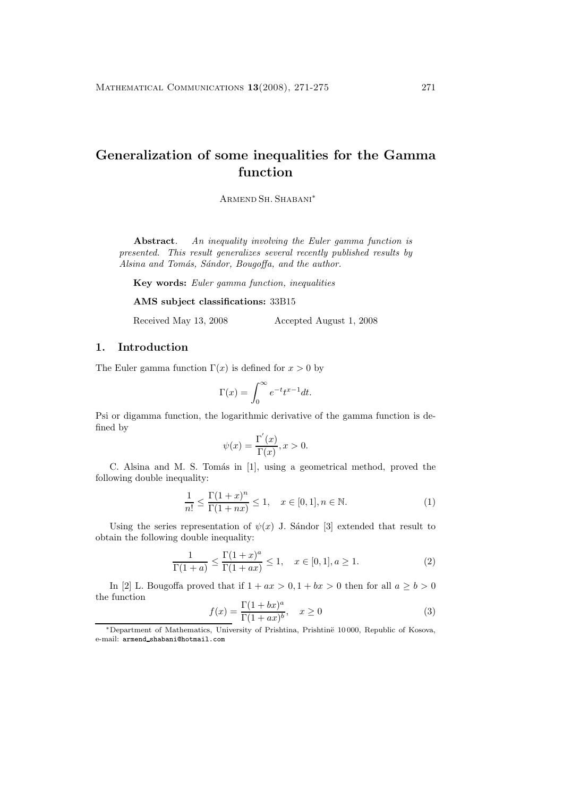# **Generalization of some inequalities for the Gamma function**

Armend Sh. Shabani<sup>∗</sup>

**Abstract***. An inequality involving the Euler gamma function is presented. This result generalizes several recently published results by Alsina and Tom´as, S´andor, Bougoffa, and the author.*

**Key words:** *Euler gamma function, inequalities*

#### **AMS subject classifications:** 33B15

Received May 13, 2008 Accepted August 1, 2008

## **1. Introduction**

The Euler gamma function  $\Gamma(x)$  is defined for  $x > 0$  by

$$
\Gamma(x) = \int_0^\infty e^{-t} t^{x-1} dt.
$$

Psi or digamma function, the logarithmic derivative of the gamma function is defined by

$$
\psi(x) = \frac{\Gamma'(x)}{\Gamma(x)}, x > 0.
$$

C. Alsina and M. S. Tomás in  $[1]$ , using a geometrical method, proved the following double inequality:

$$
\frac{1}{n!} \le \frac{\Gamma(1+x)^n}{\Gamma(1+nx)} \le 1, \quad x \in [0,1], n \in \mathbb{N}.
$$
 (1)

Using the series representation of  $\psi(x)$  J. Sandor [3] extended that result to obtain the following double inequality:

$$
\frac{1}{\Gamma(1+a)} \le \frac{\Gamma(1+x)^a}{\Gamma(1+ax)} \le 1, \quad x \in [0,1], a \ge 1.
$$
 (2)

In [2] L. Bougoffa proved that if  $1 + ax > 0, 1 + bx > 0$  then for all  $a \ge b > 0$ the function

$$
\frac{f(x)}{\Gamma(1+ax)^{b}}, \quad x \ge 0
$$
\n(3)

\*Department of Mathematics, University of Prishtina, Prishtinë 10000, Republic of Kosova, e-mail: armend shabani@hotmail.com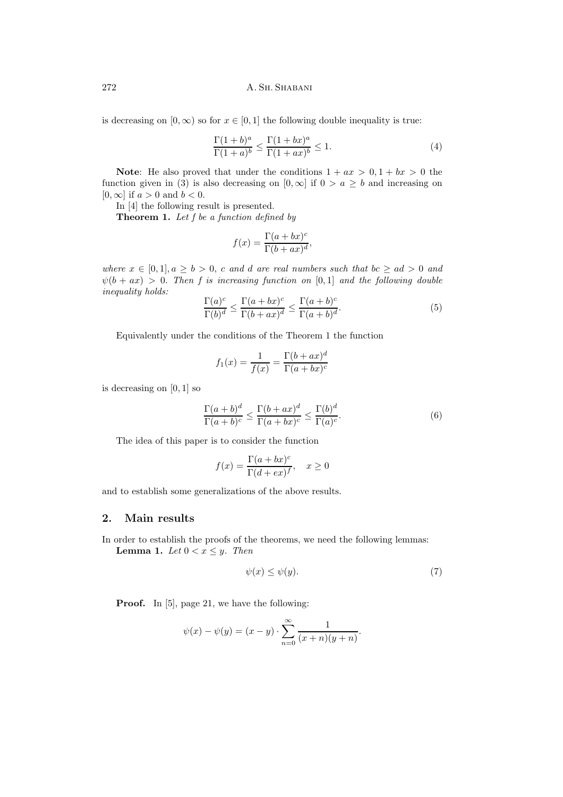is decreasing on  $[0, \infty)$  so for  $x \in [0, 1]$  the following double inequality is true:

$$
\frac{\Gamma(1+b)^a}{\Gamma(1+a)^b} \le \frac{\Gamma(1+bx)^a}{\Gamma(1+ax)^b} \le 1.
$$
\n(4)

**Note:** He also proved that under the conditions  $1 + ax > 0, 1 + bx > 0$  the function given in (3) is also decreasing on  $[0, \infty]$  if  $0 > a \geq b$  and increasing on  $[0, \infty]$  if  $a > 0$  and  $b < 0$ .

In[4] the following result is presented.

**Theorem 1.** *Let f be a function defined by*

$$
f(x) = \frac{\Gamma(a + bx)^c}{\Gamma(b + ax)^d},
$$

*where*  $x \in [0,1], a \ge b > 0$ , c and d are real numbers such that  $bc \ge ad > 0$  and  $\psi(b + ax) > 0$ . Then f is increasing function on [0,1] and the following double *inequality holds:*

$$
\frac{\Gamma(a)^c}{\Gamma(b)^d} \le \frac{\Gamma(a+bx)^c}{\Gamma(b+ax)^d} \le \frac{\Gamma(a+b)^c}{\Gamma(a+b)^d}.
$$
\n(5)

Equivalently under the conditions of the Theorem 1 the function

$$
f_1(x) = \frac{1}{f(x)} = \frac{\Gamma(b + ax)^d}{\Gamma(a + bx)^c}
$$

is decreasing on [0, 1] so

$$
\frac{\Gamma(a+b)^d}{\Gamma(a+b)^c} \le \frac{\Gamma(b+ax)^d}{\Gamma(a+bx)^c} \le \frac{\Gamma(b)^d}{\Gamma(a)^c}.
$$
\n(6)

The idea of this paper is to consider the function

$$
f(x) = \frac{\Gamma(a+bx)^c}{\Gamma(d+ex)^f}, \quad x \ge 0
$$

and to establish some generalizations of the above results.

### **2. Main results**

In order to establish the proofs of the theorems, we need the following lemmas: **Lemma 1.** *Let*  $0 < x \leq y$ *. Then* 

$$
\psi(x) \le \psi(y). \tag{7}
$$

**Proof.** In [5], page 21, we have the following:

$$
\psi(x) - \psi(y) = (x - y) \cdot \sum_{n=0}^{\infty} \frac{1}{(x + n)(y + n)}.
$$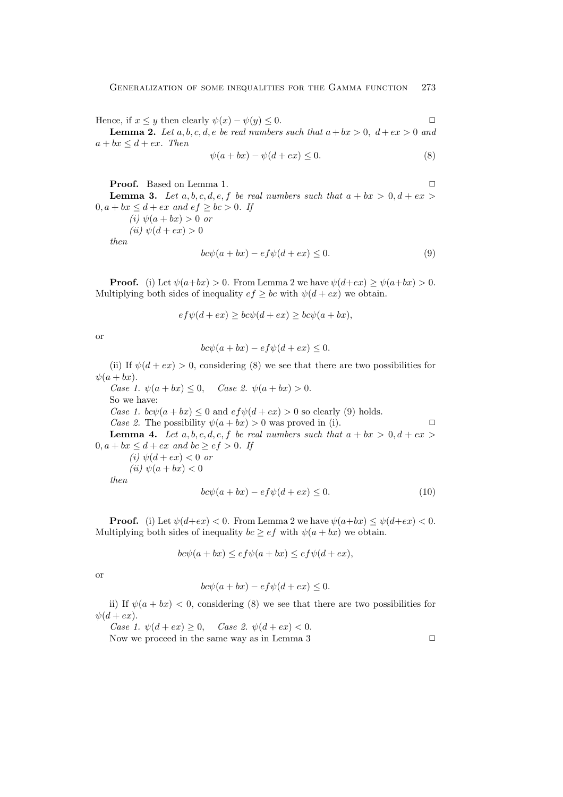Hence, if  $x \leq y$  then clearly  $\psi(x) - \psi(y) \leq 0$ . **Lemma 2.** Let  $a, b, c, d, e$  be real numbers such that  $a + bx > 0$ ,  $d + ex > 0$  and  $a + bx \leq d + ex$ *. Then* 

$$
\psi(a+bx) - \psi(d+ex) \le 0. \tag{8}
$$

**Proof.** Based on Lemma 1. **Lemma 3.** Let a, b, c, d, e, f be real numbers such that  $a + bx > 0, d + ex > 0$  $0, a + bx \leq d + ex$  *and*  $ef \geq bc > 0$ *. If*  $(i)$   $\psi(a+bx) > 0$  *or*  $(iii) \psi(d+ex) > 0$ 

*then*

$$
bc\psi(a+bx) - ef\psi(d+ex) \le 0.
$$
\n(9)

**Proof.** (i) Let  $\psi(a+bx) > 0$ . From Lemma 2 we have  $\psi(d+ex) \geq \psi(a+bx) > 0$ . Multiplying both sides of inequality  $ef \geq bc$  with  $\psi(d + ex)$  we obtain.

$$
ef\psi(d+ex) \ge bc\psi(d+ex) \ge bc\psi(a+bx),
$$

or

$$
bc\psi(a+bx) - ef\psi(d+ex) \le 0.
$$

(ii) If  $\psi(d+ex) > 0$ , considering (8) we see that there are two possibilities for  $\psi(a+bx).$ 

*Case 1.*  $\psi(a+bx) \leq 0$ , *Case 2.*  $\psi(a+bx) > 0$ . So we have: *Case 1.*  $bc\psi(a+bx) \leq 0$  and  $ef\psi(d+ex) > 0$  so clearly (9) holds. *Case 2.* The possibility  $\psi(a+bx) > 0$  was proved in (i). **Lemma 4.** Let  $a, b, c, d, e, f$  be real numbers such that  $a + bx > 0, d + ex > 0$ 0,  $a + bx \leq d + ex$  *and*  $bc > ef > 0$ *. If*  $(i)$   $\psi(d+ex) < 0$  *or*  $(iii)$   $\psi(a+bx) < 0$ 

*then*

$$
bc\psi(a+bx) - ef\psi(d+ex) \le 0.
$$
\n(10)

**Proof.** (i) Let  $\psi(d+ex) < 0$ . From Lemma 2 we have  $\psi(a+bx) \leq \psi(d+ex) < 0$ . Multiplying both sides of inequality  $bc \geq ef$  with  $\psi(a + bx)$  we obtain.

$$
bc\psi(a+bx) \leq ef\psi(a+bx) \leq ef\psi(d+ex),
$$

or

$$
bc\psi(a+bx) - ef\psi(d+ex) \le 0.
$$

ii) If  $\psi(a + bx) < 0$ , considering (8) we see that there are two possibilities for  $\psi(d+ex).$ 

*Case 1.*  $\psi(d+ex) \geq 0$ , *Case 2.*  $\psi(d+ex) < 0$ .

Now we proceed in the same way as in Lemma 3  $\Box$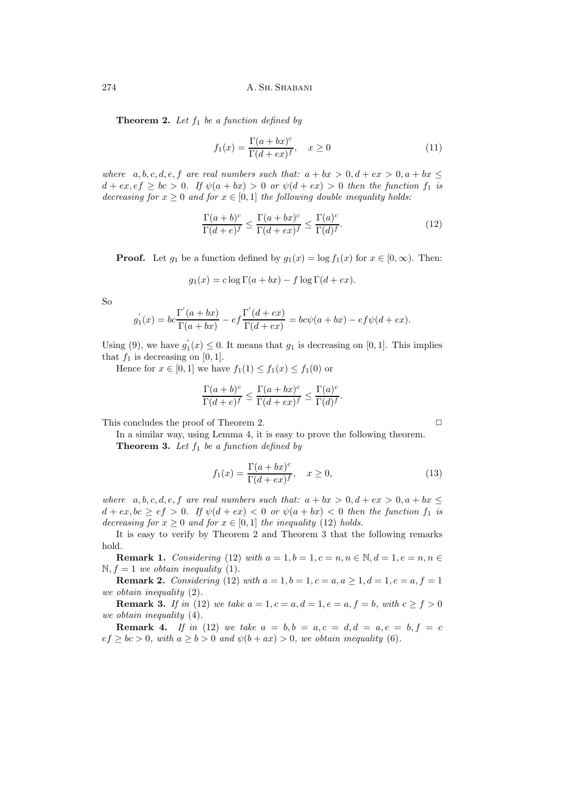**Theorem 2.** Let  $f_1$  be a function defined by

$$
f_1(x) = \frac{\Gamma(a+bx)^c}{\Gamma(d+ex)^f}, \quad x \ge 0
$$
\n(11)

*where*  $a, b, c, d, e, f$  *are real numbers such that:*  $a + bx > 0, d + ex > 0, a + bx \leq$  $d + ex, cf \geq bc > 0$ . If  $\psi(a + bx) > 0$  or  $\psi(d + ex) > 0$  then the function  $f_1$  is *decreasing for*  $x \geq 0$  *and for*  $x \in [0, 1]$  *the following double inequality holds:* 

$$
\frac{\Gamma(a+b)^c}{\Gamma(d+e)^f} \le \frac{\Gamma(a+bx)^c}{\Gamma(d+ex)^f} \le \frac{\Gamma(a)^c}{\Gamma(d)^f}.\tag{12}
$$

**Proof.** Let  $g_1$  be a function defined by  $g_1(x) = \log f_1(x)$  for  $x \in [0, \infty)$ . Then:

$$
g_1(x) = c \log \Gamma(a + bx) - f \log \Gamma(d + ex).
$$

So

$$
g_1^{'}(x) = bc \frac{\Gamma^{'}(a+bx)}{\Gamma(a+bx)} - ef \frac{\Gamma^{'}(d+ex)}{\Gamma(d+ex)} = bc\psi(a+bx) - ef\psi(d+ex).
$$

Using (9), we have  $g'_1(x) \leq 0$ . It means that  $g_1$  is decreasing on [0, 1]. This implies that  $f_1$  is decreasing on [0, 1].

Hence for  $x \in [0, 1]$  we have  $f_1(1) \le f_1(x) \le f_1(0)$  or

$$
\frac{\Gamma(a+b)^c}{\Gamma(d+e)^f} \le \frac{\Gamma(a+bx)^c}{\Gamma(d+ex)^f} \le \frac{\Gamma(a)^c}{\Gamma(d)^f}.
$$

This concludes the proof of Theorem 2.

In a similar way, using Lemma 4, it is easy to prove the following theorem. Theorem 3. Let 
$$
f_1
$$
 be a function defined by

$$
f_1(x) = \frac{\Gamma(a+bx)^c}{\Gamma(d+ex)^f}, \quad x \ge 0,
$$
\n(13)

*where*  $a, b, c, d, e, f$  *are real numbers such that:*  $a + bx > 0, d + ex > 0, a + bx \leq$  $d + ex, bc \geq ef > 0$ . If  $\psi(d + ex) < 0$  or  $\psi(a + bx) < 0$  then the function  $f_1$  is *decreasing for*  $x \geq 0$  *and for*  $x \in [0, 1]$  *the inequality* (12) *holds.* 

It is easy to verify by Theorem 2 and Theorem 3 that the following remarks hold.

**Remark 1.** *Considering* (12) *with*  $a = 1, b = 1, c = n, n \in \mathbb{N}, d = 1, e = n, n \in$  $\mathbb{N}, f = 1$  *we obtain inequality* (1).

**Remark 2.** *Considering* (12) *with*  $a = 1, b = 1, c = a, a \ge 1, d = 1, e = a, f = 1$ *we obtain inequality* (2)*.*

**Remark 3.** *If in* (12) *we take*  $a = 1, c = a, d = 1, e = a, f = b$ , with  $c \ge f > 0$ *we obtain inequality* (4)*.*

**Remark 4.** If in (12) we take  $a = b, b = a, c = d, d = a, e = b, f = c$  $ef \ge bc > 0$ *, with*  $a \ge b > 0$  *and*  $\psi(b + ax) > 0$ *, we obtain inequality* (6).

$$
\Box
$$